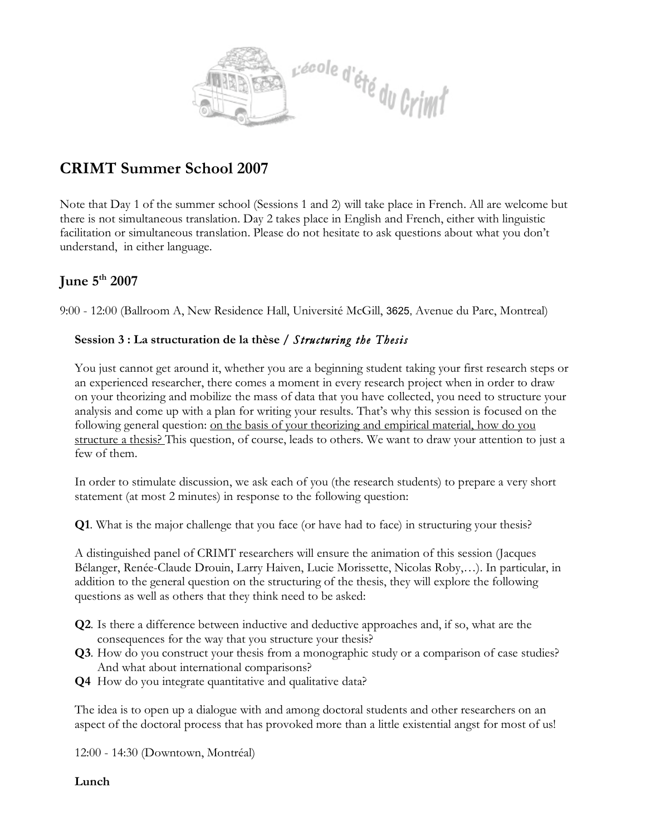

## **CRIMT Summer School 2007**

Note that Day 1 of the summer school (Sessions 1 and 2) will take place in French. All are welcome but there is not simultaneous translation. Day 2 takes place in English and French, either with linguistic facilitation or simultaneous translation. Please do not hesitate to ask questions about what you don't understand, in either language.

## **June 5th 2007**

9:00 - 12:00 (Ballroom A, New Residence Hall, Université McGill, 3625, Avenue du Parc, Montreal)

## **Session 3 : La structuration de la thèse /** *Structuring the Thesis*

You just cannot get around it, whether you are a beginning student taking your first research steps or an experienced researcher, there comes a moment in every research project when in order to draw on your theorizing and mobilize the mass of data that you have collected, you need to structure your analysis and come up with a plan for writing your results. That's why this session is focused on the following general question: <u>on the basis of your theorizing and empirical material, how do you</u> structure a thesis? This question, of course, leads to others. We want to draw your attention to just a few of them.

In order to stimulate discussion, we ask each of you (the research students) to prepare a very short statement (at most 2 minutes) in response to the following question:

**Q1**. What is the major challenge that you face (or have had to face) in structuring your thesis?

A distinguished panel of CRIMT researchers will ensure the animation of this session (Jacques Bélanger, Renée-Claude Drouin, Larry Haiven, Lucie Morissette, Nicolas Roby,…). In particular, in addition to the general question on the structuring of the thesis, they will explore the following questions as well as others that they think need to be asked:

- **Q2**. Is there a difference between inductive and deductive approaches and, if so, what are the consequences for the way that you structure your thesis?
- **Q3**. How do you construct your thesis from a monographic study or a comparison of case studies? And what about international comparisons?
- **Q4** How do you integrate quantitative and qualitative data?

The idea is to open up a dialogue with and among doctoral students and other researchers on an aspect of the doctoral process that has provoked more than a little existential angst for most of us!

12:00 - 14:30 (Downtown, Montréal)

**Lunch**